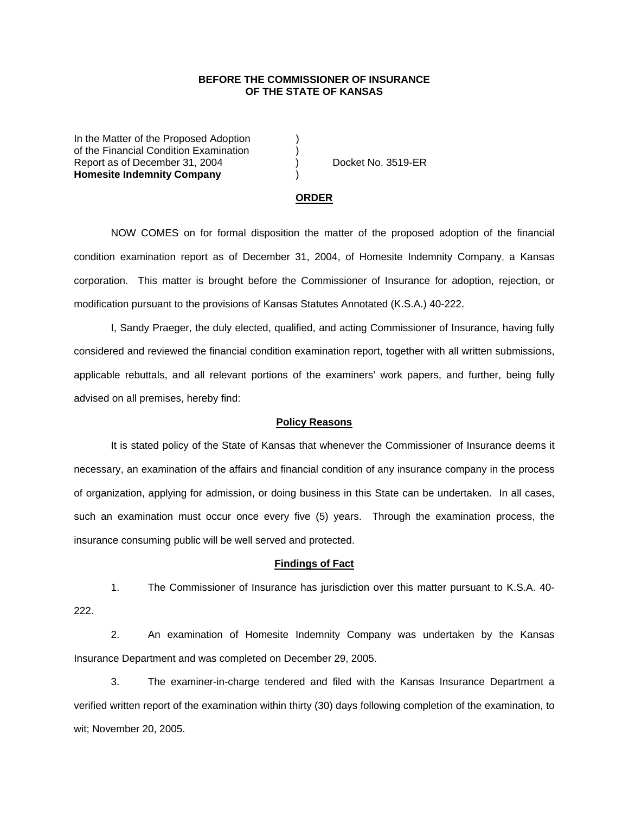## **BEFORE THE COMMISSIONER OF INSURANCE OF THE STATE OF KANSAS**

In the Matter of the Proposed Adoption of the Financial Condition Examination ) Report as of December 31, 2004 (a) (b) Docket No. 3519-ER **Homesite Indemnity Company** )

#### **ORDER**

 NOW COMES on for formal disposition the matter of the proposed adoption of the financial condition examination report as of December 31, 2004, of Homesite Indemnity Company, a Kansas corporation. This matter is brought before the Commissioner of Insurance for adoption, rejection, or modification pursuant to the provisions of Kansas Statutes Annotated (K.S.A.) 40-222.

 I, Sandy Praeger, the duly elected, qualified, and acting Commissioner of Insurance, having fully considered and reviewed the financial condition examination report, together with all written submissions, applicable rebuttals, and all relevant portions of the examiners' work papers, and further, being fully advised on all premises, hereby find:

### **Policy Reasons**

 It is stated policy of the State of Kansas that whenever the Commissioner of Insurance deems it necessary, an examination of the affairs and financial condition of any insurance company in the process of organization, applying for admission, or doing business in this State can be undertaken. In all cases, such an examination must occur once every five (5) years. Through the examination process, the insurance consuming public will be well served and protected.

### **Findings of Fact**

 1. The Commissioner of Insurance has jurisdiction over this matter pursuant to K.S.A. 40- 222.

 2. An examination of Homesite Indemnity Company was undertaken by the Kansas Insurance Department and was completed on December 29, 2005.

 3. The examiner-in-charge tendered and filed with the Kansas Insurance Department a verified written report of the examination within thirty (30) days following completion of the examination, to wit; November 20, 2005.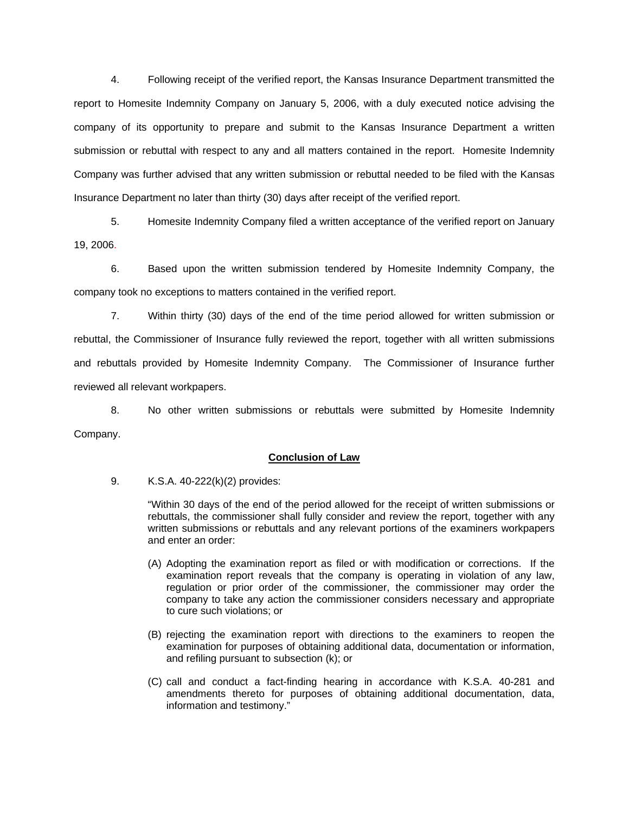4. Following receipt of the verified report, the Kansas Insurance Department transmitted the report to Homesite Indemnity Company on January 5, 2006, with a duly executed notice advising the company of its opportunity to prepare and submit to the Kansas Insurance Department a written submission or rebuttal with respect to any and all matters contained in the report. Homesite Indemnity Company was further advised that any written submission or rebuttal needed to be filed with the Kansas Insurance Department no later than thirty (30) days after receipt of the verified report.

 5. Homesite Indemnity Company filed a written acceptance of the verified report on January 19, 2006.

6. Based upon the written submission tendered by Homesite Indemnity Company, the company took no exceptions to matters contained in the verified report.

 7. Within thirty (30) days of the end of the time period allowed for written submission or rebuttal, the Commissioner of Insurance fully reviewed the report, together with all written submissions and rebuttals provided by Homesite Indemnity Company. The Commissioner of Insurance further reviewed all relevant workpapers.

 8. No other written submissions or rebuttals were submitted by Homesite Indemnity Company.

## **Conclusion of Law**

9. K.S.A. 40-222(k)(2) provides:

"Within 30 days of the end of the period allowed for the receipt of written submissions or rebuttals, the commissioner shall fully consider and review the report, together with any written submissions or rebuttals and any relevant portions of the examiners workpapers and enter an order:

- (A) Adopting the examination report as filed or with modification or corrections. If the examination report reveals that the company is operating in violation of any law, regulation or prior order of the commissioner, the commissioner may order the company to take any action the commissioner considers necessary and appropriate to cure such violations; or
- (B) rejecting the examination report with directions to the examiners to reopen the examination for purposes of obtaining additional data, documentation or information, and refiling pursuant to subsection (k); or
- (C) call and conduct a fact-finding hearing in accordance with K.S.A. 40-281 and amendments thereto for purposes of obtaining additional documentation, data, information and testimony."